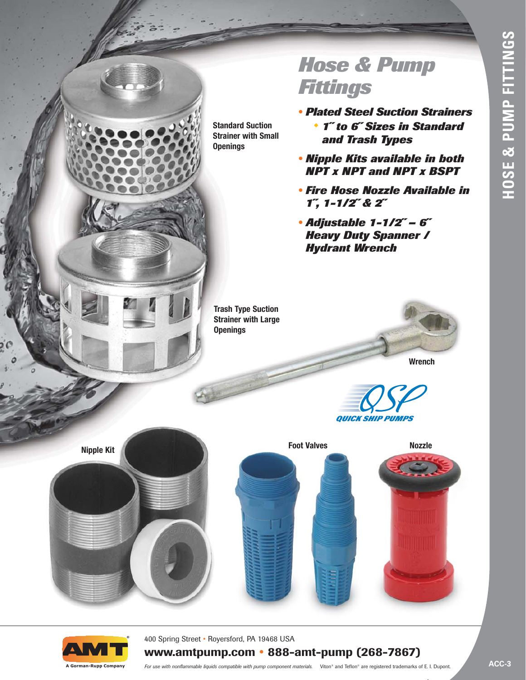# *Hose & Pump Fittings*

- *• Plated Steel Suction Strainers*  ◆ *1˝ to 6˝ Sizes in Standard and Trash Types*
- *• Nipple Kits available in both NPT x NPT and NPT x BSPT*
- *• Fire Hose Nozzle Available in 1˝, 1-1/2˝ & 2˝*
- *• Adjustable 1-1/2˝ 6˝ Heavy Duty Spanner / Hydrant Wrench*

**Trash Type Suction Strainer with Large Openings** 

**Standard Suction Strainer with Small**

**Openings** 



*QUICK SHIP PUMPS*

**Foot Valves Foot Valves** 





400 Spring Street • Royersford, PA 19468 USA

## **www.amtpump.com • 888-amt-pump (268-7867)**

**A Gorman-Rupp Company**

*For use with nonflammable liquids compatible with pump component materials.* Viton® and Teflon® are registered trademarks of E. I. Dupont.